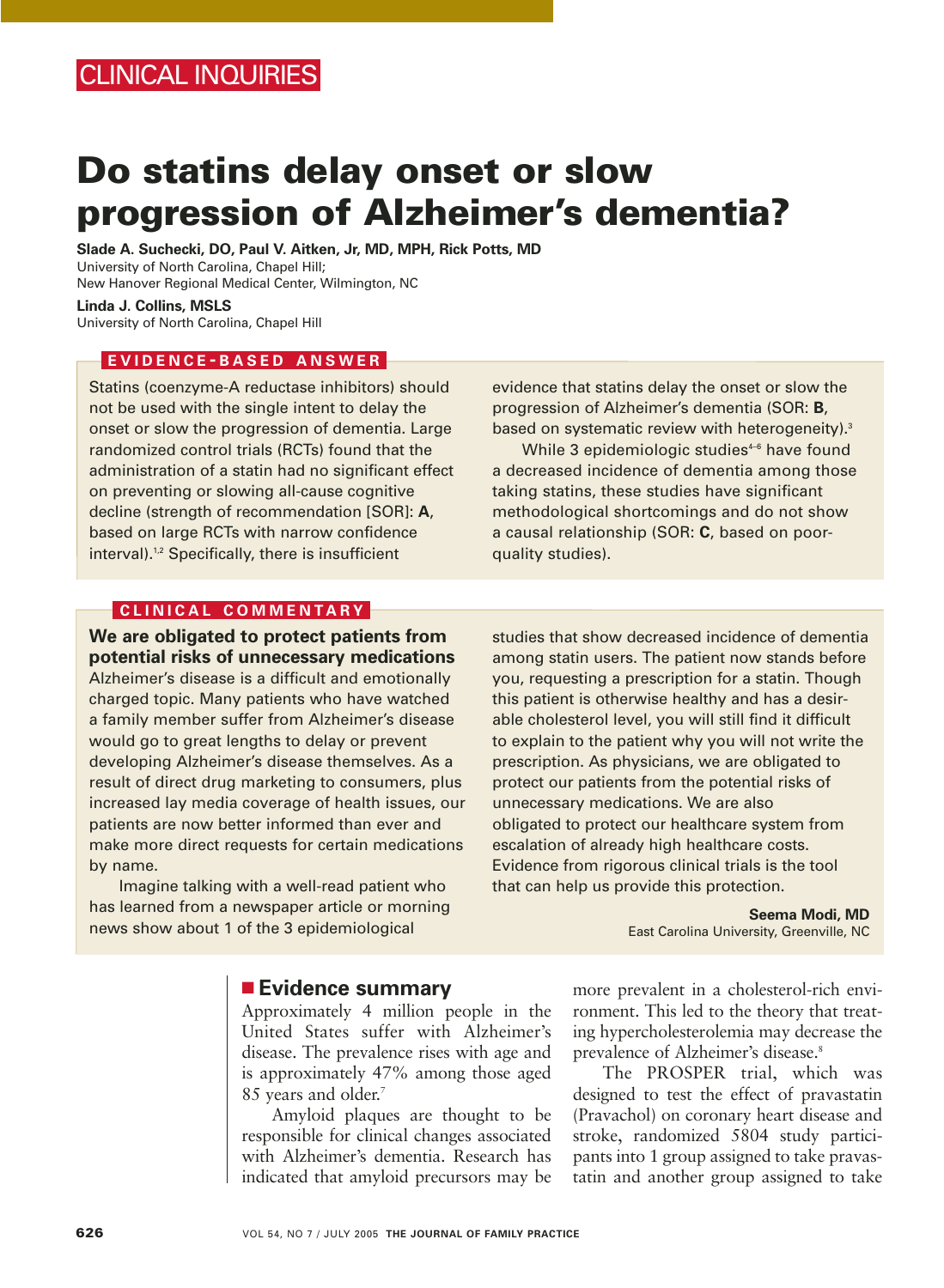# **Do statins delay onset or slow progression of Alzheimer's dementia?**

**Slade A. Suchecki, DO, Paul V. Aitken, Jr, MD, MPH, Rick Potts, MD** University of North Carolina, Chapel Hill; New Hanover Regional Medical Center, Wilmington, NC

**Linda J. Collins, MSLS**  University of North Carolina, Chapel Hill

## **EVIDENCE - BASED ANSWER**

Statins (coenzyme-A reductase inhibitors) should not be used with the single intent to delay the onset or slow the progression of dementia. Large randomized control trials (RCTs) found that the administration of a statin had no significant effect on preventing or slowing all-cause cognitive decline (strength of recommendation [SOR]: **A**, based on large RCTs with narrow confidence interval).1,2 Specifically, there is insufficient

evidence that statins delay the onset or slow the progression of Alzheimer's dementia (SOR: **B**, based on systematic review with heterogeneity).<sup>3</sup>

While 3 epidemiologic studies<sup>4-6</sup> have found a decreased incidence of dementia among those taking statins, these studies have significant methodological shortcomings and do not show a causal relationship (SOR: **C**, based on poorquality studies).

## **CLINICAL COMMENTARY**

**We are obligated to protect patients from potential risks of unnecessary medications** Alzheimer's disease is a difficult and emotionally charged topic. Many patients who have watched a family member suffer from Alzheimer's disease would go to great lengths to delay or prevent developing Alzheimer's disease themselves. As a result of direct drug marketing to consumers, plus increased lay media coverage of health issues, our patients are now better informed than ever and make more direct requests for certain medications by name.

Imagine talking with a well-read patient who has learned from a newspaper article or morning news show about 1 of the 3 epidemiological

studies that show decreased incidence of dementia among statin users. The patient now stands before you, requesting a prescription for a statin. Though this patient is otherwise healthy and has a desirable cholesterol level, you will still find it difficult to explain to the patient why you will not write the prescription. As physicians, we are obligated to protect our patients from the potential risks of unnecessary medications. We are also obligated to protect our healthcare system from escalation of already high healthcare costs. Evidence from rigorous clinical trials is the tool that can help us provide this protection.

> **Seema Modi, MD** East Carolina University, Greenville, NC

## ■ **Evidence summary**

Approximately 4 million people in the United States suffer with Alzheimer's disease. The prevalence rises with age and is approximately 47% among those aged 85 years and older.<sup>7</sup>

Amyloid plaques are thought to be responsible for clinical changes associated with Alzheimer's dementia. Research has indicated that amyloid precursors may be more prevalent in a cholesterol-rich environment. This led to the theory that treating hypercholesterolemia may decrease the prevalence of Alzheimer's disease.<sup>8</sup>

The PROSPER trial, which was designed to test the effect of pravastatin (Pravachol) on coronary heart disease and stroke, randomized 5804 study participants into 1 group assigned to take pravastatin and another group assigned to take